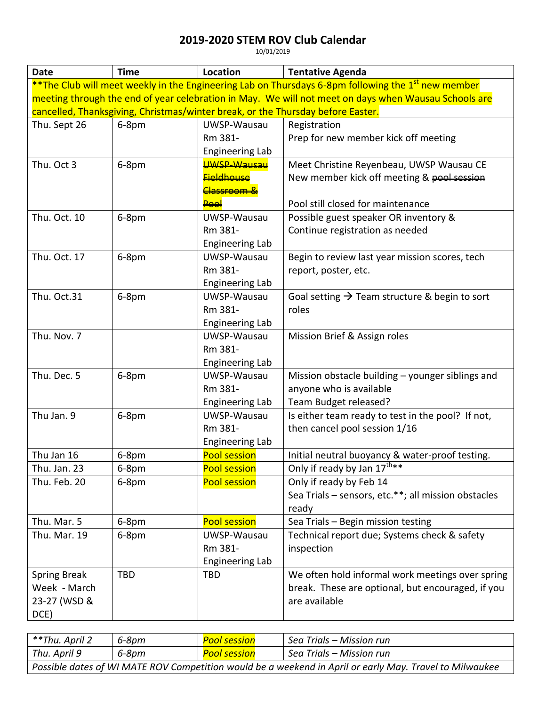## **2019-2020 STEM ROV Club Calendar**

10/01/2019

| <b>Date</b>                                                                                                    | <b>Time</b> | <b>Location</b>            | <b>Tentative Agenda</b>                                   |  |  |  |  |
|----------------------------------------------------------------------------------------------------------------|-------------|----------------------------|-----------------------------------------------------------|--|--|--|--|
| **The Club will meet weekly in the Engineering Lab on Thursdays 6-8pm following the 1 <sup>st</sup> new member |             |                            |                                                           |  |  |  |  |
| meeting through the end of year celebration in May. We will not meet on days when Wausau Schools are           |             |                            |                                                           |  |  |  |  |
| cancelled, Thanksgiving, Christmas/winter break, or the Thursday before Easter.                                |             |                            |                                                           |  |  |  |  |
| Thu. Sept 26                                                                                                   | 6-8pm       | UWSP-Wausau                | Registration                                              |  |  |  |  |
|                                                                                                                |             | Rm 381-                    | Prep for new member kick off meeting                      |  |  |  |  |
|                                                                                                                |             | <b>Engineering Lab</b>     |                                                           |  |  |  |  |
| Thu. Oct 3                                                                                                     | 6-8pm       | <b>UWSP-Wausau</b>         | Meet Christine Reyenbeau, UWSP Wausau CE                  |  |  |  |  |
|                                                                                                                |             | <del>Eieldhouse</del>      | New member kick off meeting & pool session                |  |  |  |  |
|                                                                                                                |             | <del>Classroom &amp;</del> |                                                           |  |  |  |  |
|                                                                                                                |             | <b>Peel</b>                | Pool still closed for maintenance                         |  |  |  |  |
| Thu. Oct. 10                                                                                                   | 6-8pm       | UWSP-Wausau                | Possible guest speaker OR inventory &                     |  |  |  |  |
|                                                                                                                |             | Rm 381-                    | Continue registration as needed                           |  |  |  |  |
|                                                                                                                |             | <b>Engineering Lab</b>     |                                                           |  |  |  |  |
| Thu. Oct. 17                                                                                                   | 6-8pm       | UWSP-Wausau                | Begin to review last year mission scores, tech            |  |  |  |  |
|                                                                                                                |             | Rm 381-                    | report, poster, etc.                                      |  |  |  |  |
|                                                                                                                |             | <b>Engineering Lab</b>     |                                                           |  |  |  |  |
| Thu. Oct.31                                                                                                    | 6-8pm       | UWSP-Wausau                | Goal setting $\rightarrow$ Team structure & begin to sort |  |  |  |  |
|                                                                                                                |             | Rm 381-                    | roles                                                     |  |  |  |  |
|                                                                                                                |             | Engineering Lab            |                                                           |  |  |  |  |
| Thu. Nov. 7                                                                                                    |             | UWSP-Wausau                | Mission Brief & Assign roles                              |  |  |  |  |
|                                                                                                                |             | Rm 381-                    |                                                           |  |  |  |  |
|                                                                                                                |             | <b>Engineering Lab</b>     |                                                           |  |  |  |  |
| Thu. Dec. 5                                                                                                    | 6-8pm       | UWSP-Wausau                | Mission obstacle building - younger siblings and          |  |  |  |  |
|                                                                                                                |             | Rm 381-                    | anyone who is available                                   |  |  |  |  |
|                                                                                                                |             | <b>Engineering Lab</b>     | Team Budget released?                                     |  |  |  |  |
| Thu Jan. 9                                                                                                     | 6-8pm       | UWSP-Wausau                | Is either team ready to test in the pool? If not,         |  |  |  |  |
|                                                                                                                |             | Rm 381-                    | then cancel pool session 1/16                             |  |  |  |  |
|                                                                                                                |             | <b>Engineering Lab</b>     |                                                           |  |  |  |  |
| Thu Jan 16                                                                                                     | 6-8pm       | <b>Pool session</b>        | Initial neutral buoyancy & water-proof testing.           |  |  |  |  |
| Thu. Jan. 23                                                                                                   | 6-8pm       | <b>Pool session</b>        | Only if ready by Jan 17 <sup>th**</sup>                   |  |  |  |  |
| Thu. Feb. 20                                                                                                   | 6-8pm       | <b>Pool session</b>        | Only if ready by Feb 14                                   |  |  |  |  |
|                                                                                                                |             |                            | Sea Trials - sensors, etc.**; all mission obstacles       |  |  |  |  |
|                                                                                                                |             |                            | ready                                                     |  |  |  |  |
| Thu. Mar. 5                                                                                                    | 6-8pm       | <b>Pool session</b>        | Sea Trials - Begin mission testing                        |  |  |  |  |
| Thu. Mar. 19                                                                                                   | 6-8pm       | UWSP-Wausau                | Technical report due; Systems check & safety              |  |  |  |  |
|                                                                                                                |             | Rm 381-                    | inspection                                                |  |  |  |  |
|                                                                                                                |             | <b>Engineering Lab</b>     |                                                           |  |  |  |  |
| <b>Spring Break</b>                                                                                            | <b>TBD</b>  | <b>TBD</b>                 | We often hold informal work meetings over spring          |  |  |  |  |
| Week - March                                                                                                   |             |                            | break. These are optional, but encouraged, if you         |  |  |  |  |
| 23-27 (WSD &                                                                                                   |             |                            | are available                                             |  |  |  |  |
| DCE)                                                                                                           |             |                            |                                                           |  |  |  |  |

| **Thu. April 2                                                                                          | 6-8pm | Pool session | Sea Trials – Mission run |  |  |
|---------------------------------------------------------------------------------------------------------|-------|--------------|--------------------------|--|--|
| Thu. April 9                                                                                            | 6-8pm | Pool session | Sea Trials — Mission run |  |  |
| Possible dates of WI MATE ROV Competition would be a weekend in April or early May. Travel to Milwaukee |       |              |                          |  |  |